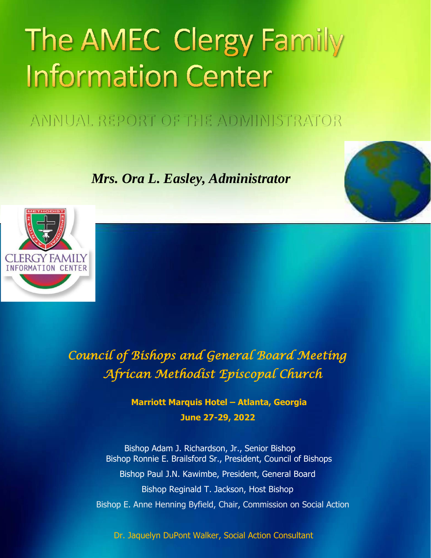# The AMEC Clergy Family **Information Center**

ANNUAL REPORT OF THE ADMINISTRATOR

 *Mrs. Ora L. Easley, Administrator*



*Council of Bishops and General Board Meeting African Methodist Episcopal Church* 

> **Marriott Marquis Hotel – Atlanta, Georgia June 27-29, 2022**

Bishop Adam J. Richardson, Jr., Senior Bishop Bishop Ronnie E. Brailsford Sr., President, Council of Bishops Bishop Paul J.N. Kawimbe, President, General Board Bishop Reginald T. Jackson, Host Bishop Bishop E. Anne Henning Byfield, Chair, Commission on Social Action

Dr. Jaquelyn DuPont Walker, Social Action Consultant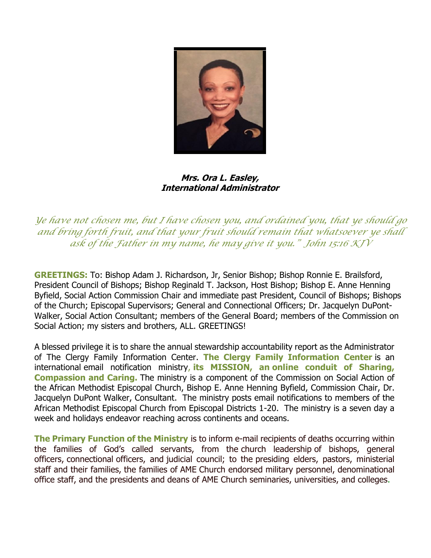

**Mrs. Ora L. Easley, International Administrator**

*Ye have not chosen me, but <sup>I</sup> have chosen you, and ordained you, that ye should go and bring forth fruit, and that your fruit should remain that whatsoever ye shall ask of the Father in my name, he may give it you." John 15:16 KJV*

**GREETINGS:** To: Bishop Adam J. Richardson, Jr, Senior Bishop; Bishop Ronnie E. Brailsford, President Council of Bishops; Bishop Reginald T. Jackson, Host Bishop; Bishop E. Anne Henning Byfield, Social Action Commission Chair and immediate past President, Council of Bishops; Bishops of the Church; Episcopal Supervisors; General and Connectional Officers; Dr. Jacquelyn DuPont-Walker, Social Action Consultant; members of the General Board; members of the Commission on Social Action; my sisters and brothers, ALL. GREETINGS!

A blessed privilege it is to share the annual stewardship accountability report as the Administrator of The Clergy Family Information Center. **The Clergy Family Information Center** is an international email notification ministry, **its MISSION, an online conduit of Sharing, Compassion and Caring.** The ministry is a component of the Commission on Social Action of the African Methodist Episcopal Church, Bishop E. Anne Henning Byfield, Commission Chair, Dr. Jacquelyn DuPont Walker, Consultant. The ministry posts email notifications to members of the African Methodist Episcopal Church from Episcopal Districts 1-20. The ministry is a seven day a week and holidays endeavor reaching across continents and oceans.

**The Primary Function of the Ministry** is to inform e-mail recipients of deaths occurring within the families of God's called servants, from the church leadership of bishops, general officers, connectional officers, and judicial council; to the presiding elders, pastors, ministerial staff and their families, the families of AME Church endorsed military personnel, denominational office staff, and the presidents and deans of AME Church seminaries, universities, and colleges.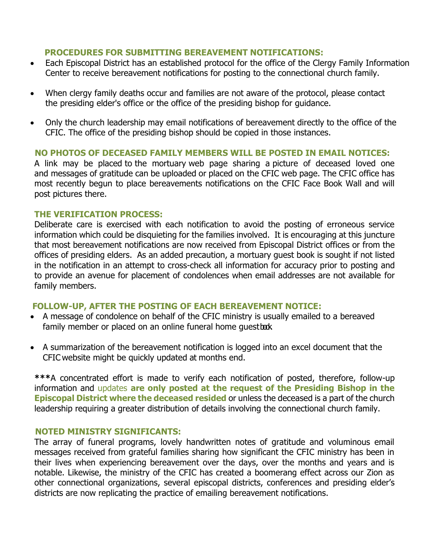### **PROCEDURES FOR SUBMITTING BEREAVEMENT NOTIFICATIONS:**

- Each Episcopal District has an established protocol for the office of the Clergy Family Information Center to receive bereavement notifications for posting to the connectional church family.
- When clergy family deaths occur and families are not aware of the protocol, please contact the presiding elder's office or the office of the presiding bishop for guidance.
- Only the church leadership may email notifications of bereavement directly to the office of the CFIC. The office of the presiding bishop should be copied in those instances.

# **NO PHOTOS OF DECEASED FAMILY MEMBERS WILL BE POSTED IN EMAIL NOTICES:**

A link may be placed to the mortuary web page sharing a picture of deceased loved one and messages of gratitude can be uploaded or placed on the CFIC web page. The CFIC office has most recently begun to place bereavements notifications on the CFIC Face Book Wall and will post pictures there.

# **THE VERIFICATION PROCESS:**

Deliberate care is exercised with each notification to avoid the posting of erroneous service information which could be disquieting for the families involved. It is encouraging at this juncture that most bereavement notifications are now received from Episcopal District offices or from the offices of presiding elders. As an added precaution, a mortuary guest book is sought if not listed in the notification in an attempt to cross-check all information for accuracy prior to posting and to provide an avenue for placement of condolences when email addresses are not available for family members.

# **FOLLOW-UP, AFTER THE POSTING OF EACH BEREAVEMENT NOTICE:**

- A message of condolence on behalf of the CFIC ministry is usually emailed to a bereaved family member or placed on an online funeral home questbook.
- A summarization of the bereavement notification is logged into an excel document that the CFIC website might be quickly updated at months end.

**\*\*\***A concentrated effort is made to verify each notification of posted, therefore, follow-up information and updates **are only posted at the request of the Presiding Bishop in the Episcopal District where the deceased resided** or unless the deceased is a part of the church leadership requiring a greater distribution of details involving the connectional church family.

# **NOTED MINISTRY SIGNIFICANTS:**

The array of funeral programs, lovely handwritten notes of gratitude and voluminous email messages received from grateful families sharing how significant the CFIC ministry has been in their lives when experiencing bereavement over the days, over the months and years and is notable. Likewise, the ministry of the CFIC has created a boomerang effect across our Zion as other connectional organizations, several episcopal districts, conferences and presiding elder's districts are now replicating the practice of emailing bereavement notifications.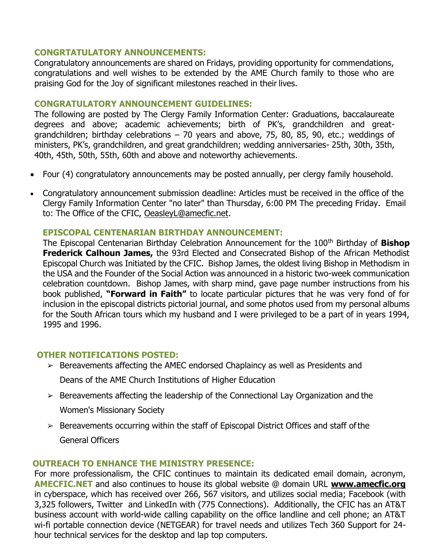### **CONGRTATULATORY ANNOUNCEMENTS:**

Congratulatory announcements are shared on Fridays, providing opportunity for commendations, congratulations and well wishes to be extended by the AME Church family to those who are praising God for the Joy of significant milestones reached in their lives.

# **CONGRATULATORY ANNOUNCEMENT GUIDELINES:**

The following are posted by The Clergy Family Information Center: Graduations, baccalaureate degrees and above; academic achievements; birth of PK's, grandchildren and greatgrandchildren; birthday celebrations – 70 years and above, 75, 80, 85, 90, etc.; weddings of ministers, PK's, grandchildren, and great grandchildren; wedding anniversaries- 25th, 30th, 35th, 40th, 45th, 50th, 55th, 60th and above and noteworthy achievements.

- Four (4) congratulatory announcements may be posted annually, per clergy family household.
- Congratulatory announcement submission deadline: Articles must be received in the office of the Clergy Family Information Center "no later" than Thursday, 6:00 PM The preceding Friday. Email to: The Office of the CFIC, [OeasleyL@amecfic.net.](mailto:OeasleyL@amecfic.net)

# **EPISCOPAL CENTENARIAN BIRTHDAY ANNOUNCEMENT:**

The Episcopal Centenarian Birthday Celebration Announcement for the 100<sup>th</sup> Birthday of **Bishop Frederick Calhoun James,** the 93rd Elected and Consecrated Bishop of the African Methodist Episcopal Church was Initiated by the CFIC. Bishop James, the oldest living Bishop in Methodism in the USA and the Founder of the Social Action was announced in a historic two-week communication celebration countdown. Bishop James, with sharp mind, gave page number instructions from his book published, **"Forward in Faith"** to locate particular pictures that he was very fond of for inclusion in the episcopal districts pictorial journal, and some photos used from my personal albums for the South African tours which my husband and I were privileged to be a part of in years 1994, 1995 and 1996.

### **OTHER NOTIFICATIONS POSTED:**

- ➢ Bereavements affecting the AMEC endorsed Chaplaincy as well as Presidents and Deans of the AME Church Institutions of Higher Education
- $\geq$  Bereavements affecting the leadership of the Connectional Lay Organization and the Women's Missionary Society
- $\geq$  Bereavements occurring within the staff of Episcopal District Offices and staff of the General Officers

### **OUTREACH TO ENHANCE THE MINISTRY PRESENCE:**

For more professionalism, the CFIC continues to maintain its dedicated email domain, acronym, **AMECFIC.NET** and also continues to house its global website @ domain URL **[www.amecfic.org](http://www.amecfic.org/)** in cyberspace, which has received over 266, 567 visitors, and utilizes social media; Facebook (with 3,325 followers, Twitter and LinkedIn with (775 Connections). Additionally, the CFIC has an AT&T business account with world-wide calling capability on the office landline and cell phone; an AT&T wi-fi portable connection device (NETGEAR) for travel needs and utilizes Tech 360 Support for 24 hour technical services for the desktop and lap top computers.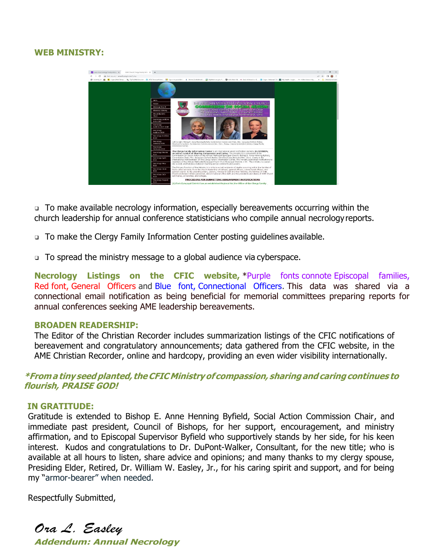# **WEB MINISTRY:**



❑ To make available necrology information, especially bereavements occurring within the church leadership for annual conference statisticians who compile annual necrologyreports.

- ❑ To make the Clergy Family Information Center posting guidelines available.
- ❑ To spread the ministry message to a global audience via cyberspace.

**Necrology Listings on the CFIC website,** \*Purple fonts connote Episcopal families, Red font, General Officers and Blue font, Connectional Officers. This data was shared via a connectional email notification as being beneficial for memorial committees preparing reports for annual conferences seeking AME leadership bereavements.

#### **BROADEN READERSHIP:**

The Editor of the Christian Recorder includes summarization listings of the CFIC notifications of bereavement and congratulatory announcements; data gathered from the CFIC website, in the AME Christian Recorder, online and hardcopy, providing an even wider visibility internationally.

**\*Froma tiny seedplanted, theCFICMinistryofcompassion, sharingandcaringcontinues to flourish, PRAISE GOD!**

### **IN GRATITUDE:**

Gratitude is extended to Bishop E. Anne Henning Byfield, Social Action Commission Chair, and immediate past president, Council of Bishops, for her support, encouragement, and ministry affirmation, and to Episcopal Supervisor Byfield who supportively stands by her side, for his keen interest. Kudos and congratulations to Dr. DuPont-Walker, Consultant, for the new title; who is available at all hours to listen, share advice and opinions; and many thanks to my clergy spouse, Presiding Elder, Retired, Dr. William W. Easley, Jr., for his caring spirit and support, and for being my "armor-bearer" when needed.

Respectfully Submitted,

*Ora L. Easley*  **Addendum: Annual Necrology**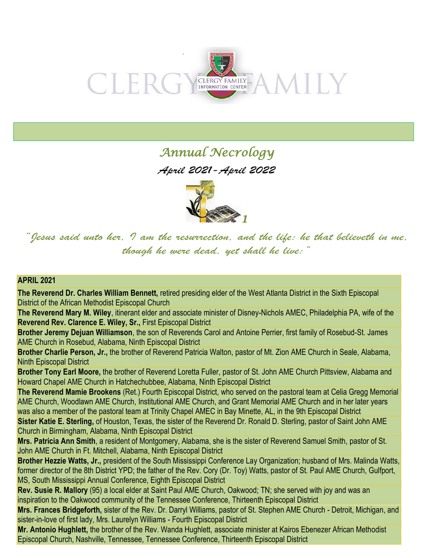

# *Annual Necrology*

*April 2021-April 2022* 



*"Jesus said unto her, I am the resurrection, and the life: he that believeth in me, though he were dead, yet shall he live:"*

### **APRIL 2021**

**The Reverend Dr. Charles William Bennett,** retired presiding elder of the West Atlanta District in the Sixth Episcopal District of the African Methodist Episcopal Church

**The Reverend Mary M. Wiley**, itinerant elder and associate minister of Disney-Nichols AMEC, Philadelphia PA, wife of the **Reverend Rev. Clarence E. Wiley, Sr.,** First Episcopal District

**Brother Jeremy Dejuan Williamson**, the son of Reverends Carol and Antoine Perrier, first family of Rosebud-St. James AME Church in Rosebud, Alabama, Ninth Episcopal District

**Brother Charlie Person, Jr.,** the brother of Reverend Patricia Walton, pastor of Mt. Zion AME Church in Seale, Alabama, Ninth Episcopal District

**Brother Tony Earl Moore,** the brother of Reverend Loretta Fuller, pastor of St. John AME Church Pittsview, Alabama and Howard Chapel AME Church in Hatchechubbee, Alabama, Ninth Episcopal District

**The Reverend Mamie Brookens** (Ret.) Fourth Episcopal District, who served on the pastoral team at Celia Gregg Memorial AME Church, Woodlawn AME Church, Institutional AME Church, and Grant Memorial AME Church and in her later years was also a member of the pastoral team at Trinity Chapel AMEC in Bay Minette, AL, in the 9th Episcopal District

**Sister Katie E. Sterling,** of Houston, Texas, the sister of the Reverend Dr. Ronald D. Sterling, pastor of Saint John AME Church in Birmingham, Alabama, Ninth Episcopal District

**Mrs. Patricia Ann Smith**, a resident of Montgomery, Alabama, she is the sister of Reverend Samuel Smith, pastor of St. John AME Church in Ft. Mitchell, Alabama, Ninth Episcopal District

**Brother Hezzie Watts, Jr.,** president of the South Mississippi Conference Lay Organization; husband of Mrs. Malinda Watts, former director of the 8th District YPD; the father of the Rev. Cory (Dr. Toy) Watts, pastor of St. Paul AME Church, Gulfport, MS, South Mississippi Annual Conference, Eighth Episcopal District

**Rev. Susie R. Mallory** (95) a local elder at Saint Paul AME Church, Oakwood; TN; she served with joy and was an inspiration to the Oakwood community of the Tennessee Conference, Thirteenth Episcopal District

**Mrs. Frances Bridgeforth,** sister of the Rev. Dr. Darryl Williams, pastor of St. Stephen AME Church - Detroit, Michigan, and sister-in-love of first lady, Mrs. Laurelyn Williams - Fourth Episcopal District

**Mr. Antonio Hughlett,** the brother of the Rev. Wanda Hughlett, associate minister at Kairos Ebenezer African Methodist Episcopal Church, Nashville, Tennessee, Tennessee Conference, Thirteenth Episcopal District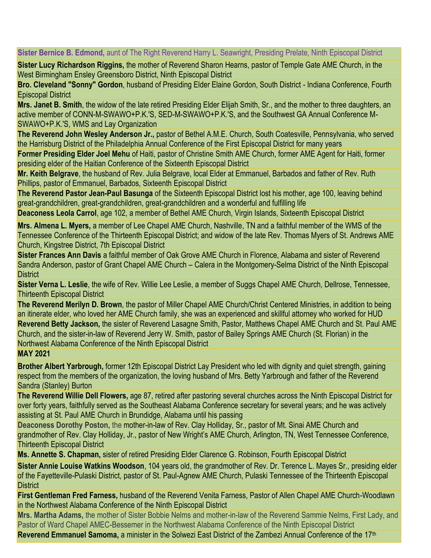**Sister Bernice B. Edmond,** aunt of The Right Reverend Harry L. Seawright, Presiding Prelate, Ninth Episcopal District

**Sister Lucy Richardson Riggins,** the mother of Reverend Sharon Hearns, pastor of Temple Gate AME Church, in the West Birmingham Ensley Greensboro District, Ninth Episcopal District

**Bro. Cleveland "Sonny" Gordon**, husband of Presiding Elder Elaine Gordon, South District - Indiana Conference, Fourth Episcopal District

**Mrs. Janet B. Smith**, the widow of the late retired Presiding Elder Elijah Smith, Sr., and the mother to three daughters, an active member of CONN-M-SWAWO+P.K.'S, SED-M-SWAWO+P.K.'S, and the Southwest GA Annual Conference M-SWAWO+P.K.'S, WMS and Lay Organization

**The Reverend John Wesley Anderson Jr.,** pastor of Bethel A.M.E. Church, South Coatesville, Pennsylvania, who served the Harrisburg District of the Philadelphia Annual Conference of the First Episcopal District for many years

**Former Presiding Elder Joel Mehu** of Haiti, pastor of Christine Smith AME Church, former AME Agent for Haiti, former presiding elder of the Haitian Conference of the Sixteenth Episcopal District

**Mr. Keith Belgrave**, the husband of Rev. Julia Belgrave, local Elder at Emmanuel, Barbados and father of Rev. Ruth Phillips, pastor of Emmanuel, Barbados, Sixteenth Episcopal District

**The Reverend Pastor Jean-Paul Basunga** of the Sixteenth Episcopal District lost his mother, age 100, leaving behind great-grandchildren, great-grandchildren, great-grandchildren and a wonderful and fulfilling life

**Deaconess Leola Carrol**, age 102, a member of Bethel AME Church, Virgin Islands, Sixteenth Episcopal District

**Mrs. Almena L. Myers,** a member of Lee Chapel AME Church, Nashville, TN and a faithful member of the WMS of the Tennessee Conference of the Thirteenth Episcopal District; and widow of the late Rev. Thomas Myers of St. Andrews AME Church, Kingstree District, 7th Episcopal District

**Sister Frances Ann Davis** a faithful member of Oak Grove AME Church in Florence, Alabama and sister of Reverend Sandra Anderson, pastor of Grant Chapel AME Church – Calera in the Montgomery-Selma District of the Ninth Episcopal **District** 

**Sister Verna L. Leslie**, the wife of Rev. Willie Lee Leslie, a member of Suggs Chapel AME Church, Dellrose, Tennessee, Thirteenth Episcopal District

**The Reverend Merilyn D. Brown**, the pastor of Miller Chapel AME Church/Christ Centered Ministries, in addition to being an itinerate elder, who loved her AME Church family, she was an experienced and skillful attorney who worked for HUD **Reverend Betty Jackson,** the sister of Reverend Lasagne Smith, Pastor, Matthews Chapel AME Church and St. Paul AME Church, and the sister-in-law of Reverend Jerry W. Smith, pastor of Bailey Springs AME Church (St. Florian) in the Northwest Alabama Conference of the Ninth Episcopal District

# **MAY 2021**

**Brother Albert Yarbrough,** former 12th Episcopal District Lay President who led with dignity and quiet strength, gaining respect from the members of the organization, the loving husband of Mrs. Betty Yarbrough and father of the Reverend Sandra (Stanley) Burton

**The Reverend Willie Dell Flowers,** age 87, retired after pastoring several churches across the Ninth Episcopal District for over forty years, faithfully served as the Southeast Alabama Conference secretary for several years; and he was actively assisting at St. Paul AME Church in Brundidge, Alabama until his passing

**Deaconess Dorothy Poston,** the mother-in-law of Rev. Clay Holliday, Sr., pastor of Mt. Sinai AME Church and grandmother of Rev. Clay Holliday, Jr., pastor of New Wright's AME Church, Arlington, TN, West Tennessee Conference, Thirteenth Episcopal District

**Ms. Annette S. Chapman,** sister of retired Presiding Elder Clarence G. Robinson, Fourth Episcopal District

**Sister Annie Louise Watkins Woodson**, 104 years old, the grandmother of Rev. Dr. Terence L. Mayes Sr., presiding elder of the Fayetteville-Pulaski District, pastor of St. Paul-Agnew AME Church, Pulaski Tennessee of the Thirteenth Episcopal **District** 

**First Gentleman Fred Farness,** husband of the Reverend Venita Farness, Pastor of Allen Chapel AME Church-Woodlawn in the Northwest Alabama Conference of the Ninth Episcopal District

**Mrs. Martha Adams,** the mother of Sister Bobbie Nelms and mother-in-law of the Reverend Sammie Nelms, First Lady, and Pastor of Ward Chapel AMEC-Bessemer in the Northwest Alabama Conference of the Ninth Episcopal District

Reverend Emmanuel Samoma, a minister in the Solwezi East District of the Zambezi Annual Conference of the 17<sup>th</sup>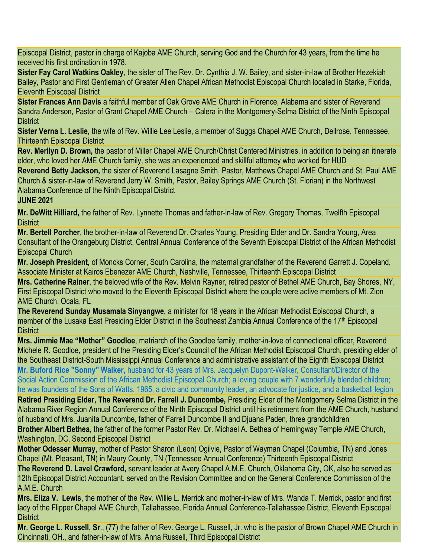Episcopal District, pastor in charge of Kajoba AME Church, serving God and the Church for 43 years, from the time he received his first ordination in 1978.

**Sister Fay Carol Watkins Oakley**, the sister of The Rev. Dr. Cynthia J. W. Bailey, and sister-in-law of Brother Hezekiah Bailey, Pastor and First Gentleman of Greater Allen Chapel African Methodist Episcopal Church located in Starke, Florida, Eleventh Episcopal District

**Sister Frances Ann Davis** a faithful member of Oak Grove AME Church in Florence, Alabama and sister of Reverend Sandra Anderson, Pastor of Grant Chapel AME Church – Calera in the Montgomery-Selma District of the Ninth Episcopal **District** 

**Sister Verna L. Leslie,** the wife of Rev. Willie Lee Leslie, a member of Suggs Chapel AME Church, Dellrose, Tennessee, Thirteenth Episcopal District

**Rev. Merilyn D. Brown,** the pastor of Miller Chapel AME Church/Christ Centered Ministries, in addition to being an itinerate elder, who loved her AME Church family, she was an experienced and skillful attorney who worked for HUD **Reverend Betty Jackson,** the sister of Reverend Lasagne Smith, Pastor, Matthews Chapel AME Church and St. Paul AME Church & sister-in-law of Reverend Jerry W. Smith, Pastor, Bailey Springs AME Church (St. Florian) in the Northwest Alabama Conference of the Ninth Episcopal District

# **JUNE 2021**

**Mr. DeWitt Hilliard,** the father of Rev. Lynnette Thomas and father-in-law of Rev. Gregory Thomas, Twelfth Episcopal **District** 

**Mr. Bertell Porcher**, the brother-in-law of Reverend Dr. Charles Young, Presiding Elder and Dr. Sandra Young, Area Consultant of the Orangeburg District, Central Annual Conference of the Seventh Episcopal District of the African Methodist Episcopal Church

**Mr. Joseph President,** of Moncks Corner, South Carolina, the maternal grandfather of the Reverend Garrett J. Copeland, Associate Minister at Kairos Ebenezer AME Church, Nashville, Tennessee, Thirteenth Episcopal District

**Mrs. Catherine Rainer**, the beloved wife of the Rev. Melvin Rayner, retired pastor of Bethel AME Church, Bay Shores, NY, First Episcopal District who moved to the Eleventh Episcopal District where the couple were active members of Mt. Zion AME Church, Ocala, FL

**The Reverend Sunday Musamala Sinyangwe,** a minister for 18 years in the African Methodist Episcopal Church, a member of the Lusaka East Presiding Elder District in the Southeast Zambia Annual Conference of the 17<sup>th</sup> Episcopal **District** 

**Mrs. Jimmie Mae "Mother" Goodloe**, matriarch of the Goodloe family, mother-in-love of connectional officer, Reverend Michele R. Goodloe, president of the Presiding Elder's Council of the African Methodist Episcopal Church, presiding elder of the Southeast District-South Mississippi Annual Conference and administrative assistant of the Eighth Episcopal District **Mr. Buford Rice "Sonny" Walker,** husband for 43 years of Mrs. Jacquelyn Dupont-Walker, Consultant/Director of the Social Action Commission of the African Methodist Episcopal Church; a loving couple with 7 wonderfully blended children; he was founders of the Sons of Watts, 1965, a civic and community leader, an advocate for justice, and a basketball legion

**Retired Presiding Elder, The Reverend Dr. Farrell J. Duncombe,** Presiding Elder of the Montgomery Selma District in the Alabama River Region Annual Conference of the Ninth Episcopal District until his retirement from the AME Church, husband of husband of Mrs. Juanita Duncombe, father of Farrell Duncombe II and Djuana Paden, three grandchildren

**Brother Albert Bethea,** the father of the former Pastor Rev. Dr. Michael A. Bethea of Hemingway Temple AME Church, Washington, DC, Second Episcopal District

**Mother Odesser Murray**, mother of Pastor Sharon (Leon) Ogilvie, Pastor of Wayman Chapel (Columbia, TN) and Jones Chapel (Mt. Pleasant, TN) in Maury County, TN (Tennessee Annual Conference) Thirteenth Episcopal District

**The Reverend D. Lavel Crawford,** servant leader at Avery Chapel A.M.E. Church, Oklahoma City, OK, also he served as 12th Episcopal District Accountant, served on the Revision Committee and on the General Conference Commission of the A.M.E. Church

**Mrs. Eliza V. Lewis**, the mother of the Rev. Willie L. Merrick and mother-in-law of Mrs. Wanda T. Merrick, pastor and first lady of the Flipper Chapel AME Church, Tallahassee, Florida Annual Conference-Tallahassee District, Eleventh Episcopal **District** 

**Mr. George L. Russell, Sr**., (77) the father of Rev. George L. Russell, Jr. who is the pastor of Brown Chapel AME Church in Cincinnati, OH., and father-in-law of Mrs. Anna Russell, Third Episcopal District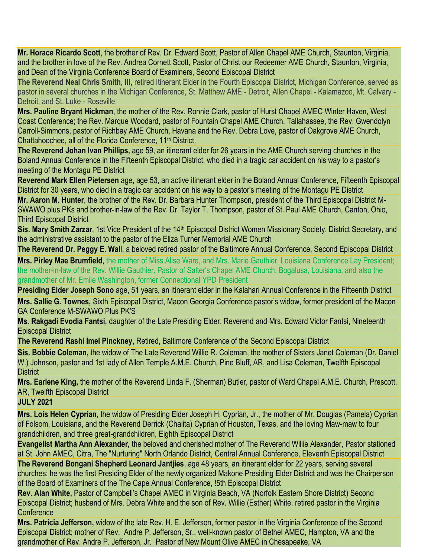**Mr. Horace Ricardo Scott**, the brother of Rev. Dr. Edward Scott, Pastor of Allen Chapel AME Church, Staunton, Virginia, and the brother in love of the Rev. Andrea Cornett Scott, Pastor of Christ our Redeemer AME Church, Staunton, Virginia, and Dean of the Virginia Conference Board of Examiners, Second Episcopal District

**The Reverend Neal Chris Smith, III,** retired Itinerant Elder in the Fourth Episcopal District, Michigan Conference, served as pastor in several churches in the Michigan Conference, St. Matthew AME - Detroit, Allen Chapel - Kalamazoo, Mt. Calvary - Detroit, and St. Luke - Roseville

**Mrs. Pauline Bryant Hickman**, the mother of the Rev. Ronnie Clark, pastor of Hurst Chapel AMEC Winter Haven, West Coast Conference; the Rev. Marque Woodard, pastor of Fountain Chapel AME Church, Tallahassee, the Rev. Gwendolyn Carroll-Simmons, pastor of Richbay AME Church, Havana and the Rev. Debra Love, pastor of Oakgrove AME Church, Chattahoochee, all of the Florida Conference, 11<sup>th</sup> District.

**The Reverend Johan Ivan Phillips,** age 59, an itinerant elder for 26 years in the AME Church serving churches in the Boland Annual Conference in the Fifteenth Episcopal District, who died in a tragic car accident on his way to a pastor's meeting of the Montagu PE District

**Reverend Mark Ellen Pietersen** age, age 53, an active itinerant elder in the Boland Annual Conference, Fifteenth Episcopal District for 30 years, who died in a tragic car accident on his way to a pastor's meeting of the Montagu PE District

**Mr. Aaron M. Hunter**, the brother of the Rev. Dr. Barbara Hunter Thompson, president of the Third Episcopal District M-SWAWO plus PKs and brother-in-law of the Rev. Dr. Taylor T. Thompson, pastor of St. Paul AME Church, Canton, Ohio, Third Episcopal District

**Sis. Mary Smith Zarzar**, 1st Vice President of the 14<sup>th</sup> Episcopal District Women Missionary Society, District Secretary, and the administrative assistant to the pastor of the Eliza Turner Memorial AME Church

**The Reverend Dr. Peggy E. Wal**l, a beloved retired pastor of the Baltimore Annual Conference, Second Episcopal District

**Mrs. Pirley Mae Brumfield**, the mother of Miss Alise Ware, and Mrs. Marie Gauthier, Louisiana Conference Lay President; the mother-in-law of the Rev. Willie Gauthier, Pastor of Salter's Chapel AME Church, Bogalusa, Louisiana, and also the grandmother of Mr. Emile Washington, former Connectional YPD President

**Presiding Elder Joseph Sono** age, 51 years, an itinerant elder in the Kalahari Annual Conference in the Fifteenth District

**Mrs. Sallie G. Townes,** Sixth Episcopal District, Macon Georgia Conference pastor's widow, former president of the Macon GA Conference M-SWAWO Plus PK'S

**Ms. Rakgadi Evodia Fantsi,** daughter of the Late Presiding Elder, Reverend and Mrs. Edward Victor Fantsi, Nineteenth Episcopal District

**The Reverend Rashi Imel Pinckney**, Retired, Baltimore Conference of the Second Episcopal District

**Sis. Bobbie Coleman,** the widow of The Late Reverend Willie R. Coleman, the mother of Sisters Janet Coleman (Dr. Daniel W.) Johnson, pastor and 1st lady of Allen Temple A.M.E. Church, Pine Bluff, AR, and Lisa Coleman, Twelfth Episcopal **District** 

**Mrs. Earlene King,** the mother of the Reverend Linda F. (Sherman) Butler, pastor of Ward Chapel A.M.E. Church, Prescott, AR, Twelfth Episcopal District

### **JULY 2021**

**Mrs. Lois Helen Cyprian,** the widow of Presiding Elder Joseph H. Cyprian, Jr., the mother of Mr. Douglas (Pamela) Cyprian of Folsom, Louisiana, and the Reverend Derrick (Chalita) Cyprian of Houston, Texas, and the loving Maw-maw to four grandchildren, and three great-grandchildren, Eighth Episcopal District

**Evangelist Martha Ann Alexander,** the beloved and cherished mother of The Reverend Willie Alexander, Pastor stationed at St. John AMEC, Citra, The "Nurturing" North Orlando District, Central Annual Conference, Eleventh Episcopal District **The Reverend Bongani Shepherd Leonard Jantjies**, age 48 years, an itinerant elder for 22 years, serving several churches; he was the first Presiding Elder of the newly organized Makone Presiding Elder District and was the Chairperson of the Board of Examiners of the The Cape Annual Conference, !5th Episcopal District

**Rev. Alan White,** Pastor of Campbell's Chapel AMEC in Virginia Beach, VA (Norfolk Eastern Shore District) Second Episcopal District; husband of Mrs. Debra White and the son of Rev. Willie (Esther) White, retired pastor in the Virginia **Conference** 

**Mrs. Patricia Jefferson,** widow of the late Rev. H. E. Jefferson, former pastor in the Virginia Conference of the Second Episcopal District; mother of Rev. Andre P. Jefferson, Sr., well-known pastor of Bethel AMEC, Hampton, VA and the grandmother of Rev. Andre P. Jefferson, Jr. Pastor of New Mount Olive AMEC in Chesapeake, VA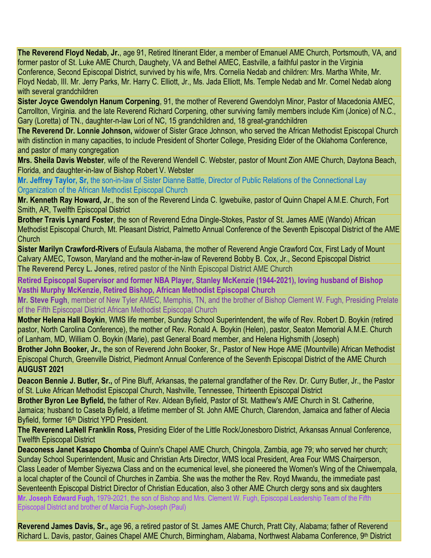**The Reverend Floyd Nedab, Jr.**, age 91, Retired Itinerant Elder, a member of Emanuel AME Church, Portsmouth, VA, and former pastor of St. Luke AME Church, Daughety, VA and Bethel AMEC, Eastville, a faithful pastor in the Virginia Conference, Second Episcopal District, survived by his wife, Mrs. Cornelia Nedab and children: Mrs. Martha White, Mr. Floyd Nedab, III. Mr. Jerry Parks, Mr. Harry C. Elliott, Jr., Ms. Jada Elliott, Ms. Temple Nedab and Mr. Cornel Nedab along with several grandchildren

**Sister Joyce Gwendolyn Hanum Corpening**, 91, the mother of Reverend Gwendolyn Minor, Pastor of Macedonia AMEC, Carrollton, Virginia. and the late Reverend Richard Corpening, other surviving family members include Kim (Jonice) of N.C., Gary (Loretta) of TN., daughter-n-law Lori of NC, 15 grandchildren and, 18 great-grandchildren

**The Reverend Dr. Lonnie Johnson,** widower of Sister Grace Johnson, who served the African Methodist Episcopal Church with distinction in many capacities, to include President of Shorter College, Presiding Elder of the Oklahoma Conference, and pastor of many congregation

**Mrs. Sheila Davis Webster***,* wife of the Reverend Wendell C. Webster, pastor of Mount Zion AME Church, Daytona Beach, Florida, and daughter-in-law of Bishop Robert V. Webster

**Mr. Jeffrey Taylor, Sr,** the son-in-law of Sister Dianne Battle, Director of Public Relations of the Connectional Lay Organization of the African Methodist Episcopal Church

**Mr. Kenneth Ray Howard, Jr***.,* the son of the Reverend Linda C. Igwebuike, pastor of Quinn Chapel A.M.E. Church, Fort Smith, AR, Twelfth Episcopal District

**Brother Travis Lynard Foster**, the son of Reverend Edna Dingle-Stokes, Pastor of St. James AME (Wando) African Methodist Episcopal Church, Mt. Pleasant District, Palmetto Annual Conference of the Seventh Episcopal District of the AME **Church** 

**Sister Marilyn Crawford-Rivers** of Eufaula Alabama, the mother of Reverend Angie Crawford Cox, First Lady of Mount Calvary AMEC, Towson, Maryland and the mother-in-law of Reverend Bobby B. Cox, Jr., Second Episcopal District **The Reverend Percy L. Jones**, retired pastor of the Ninth Episcopal District AME Church

**Retired Episcopal Supervisor and former NBA Player, Stanley McKenzie (1944-2021), loving husband of Bishop Vasthi Murphy McKenzie, Retired Bishop, African Methodist Episcopal Church**

**Mr. Steve Fugh**, member of New Tyler AMEC, Memphis, TN, and the brother of Bishop Clement W. Fugh, Presiding Prelate of the Fifth Episcopal District African Methodist Episcopal Church

**Mother Helena Hall Boykin**, WMS life member, Sunday School Superintendent, the wife of Rev. Robert D. Boykin (retired pastor, North Carolina Conference), the mother of Rev. Ronald A. Boykin (Helen), pastor, Seaton Memorial A.M.E. Church of Lanham, MD, William O. Boykin (Marie), past General Board member, and Helena Highsmith (Joseph)

**Brother John Booker, Jr.,** the son of Reverend John Booker, Sr., Pastor of New Hope AME (Mountville) African Methodist Episcopal Church, Greenville District, Piedmont Annual Conference of the Seventh Episcopal District of the AME Church **AUGUST 2021**

**Deacon Bennie J. Butler, Sr.,** of Pine Bluff, Arkansas, the paternal grandfather of the Rev. Dr. Curry Butler, Jr., the Pastor of St. Luke African Methodist Episcopal Church, Nashville, Tennessee, Thirteenth Episcopal District

**Brother Byron Lee Byfield,** the father of Rev. Aldean Byfield, Pastor of St. Matthew's AME Church in St. Catherine, Jamaica; husband to Caseta Byfield, a lifetime member of St. John AME Church, Clarendon, Jamaica and father of Alecia Byfield, former 16<sup>th</sup> District YPD President.

**The Reverend LaNell Franklin Ross,** Presiding Elder of the Little Rock/Jonesboro District, Arkansas Annual Conference, Twelfth Episcopal District

**Deaconess Janet Kasapo Chomba** of Quinn's Chapel AME Church, Chingola, Zambia, age 79; who served her church; Sunday School Superintendent, Music and Christian Arts Director, WMS local President, Area Four WMS Chairperson, Class Leader of Member Siyezwa Class and on the ecumenical level, she pioneered the Women's Wing of the Chiwempala, a local chapter of the Council of Churches in Zambia. She was the mother the Rev. Royd Mwandu, the immediate past Seventeenth Episcopal District Director of Christian Education, also 3 other AME Church clergy sons and six daughters **Mr. Joseph Edward Fugh,** 1979-2021, the son of Bishop and Mrs. Clement W. Fugh, Episcopal Leadership Team of the Fifth Episcopal District and brother of Marcia Fugh-Joseph (Paul)

**Reverend James Davis, Sr.,** age 96, a retired pastor of St. James AME Church, Pratt City, Alabama; father of Reverend Richard L. Davis, pastor, Gaines Chapel AME Church, Birmingham, Alabama, Northwest Alabama Conference, 9th District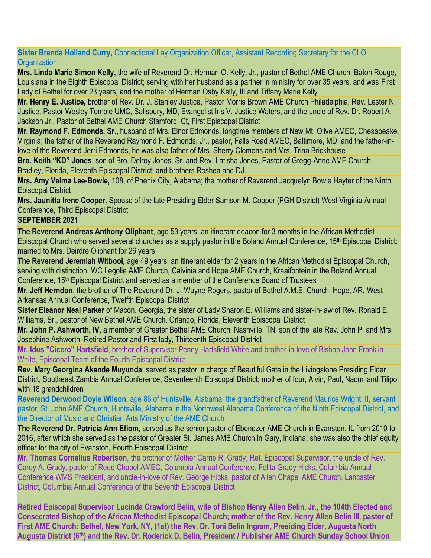**Sister Brenda Holland Curry,** Connectional Lay Organization Officer, Assistant Recording Secretary for the CLO **Organization** 

**Mrs. Linda Marie Simon Kelly,** the wife of Reverend Dr. Herman O. Kelly, Jr., pastor of Bethel AME Church, Baton Rouge, Louisiana in the Eighth Episcopal District; serving with her husband as a partner in ministry for over 35 years, and was First Lady of Bethel for over 23 years, and the mother of Herman Osby Kelly, III and Tiffany Marie Kelly

**Mr. Henry E. Justice,** brother of Rev. Dr. J. Stanley Justice, Pastor Morris Brown AME Church Philadelphia, Rev. Lester N. Justice, Pastor Wesley Temple UMC, Salisbury, MD, Evangelist Iris V. Justice Waters, and the uncle of Rev. Dr. Robert A. Jackson Jr., Pastor of Bethel AME Church Stamford, Ct, First Episcopal District

**Mr. Raymond F. Edmonds, Sr.,** husband of Mrs. Elnor Edmonds, longtime members of New Mt. Olive AMEC, Chesapeake, Virginia; the father of the Reverend Raymond F. Edmonds, Jr., pastor, Falls Road AMEC, Baltimore, MD, and the father-inlove of the Reverend Jerri Edmonds, he was also father of Mrs. Sherry Clemons and Mrs. Trina Brickhouse

**Bro. Keith "KD" Jones**, son of Bro. Delroy Jones, Sr. and Rev. Latisha Jones, Pastor of Gregg-Anne AME Church, Bradley, Florida, Eleventh Episcopal District; and brothers Roshea and DJ.

**Mrs. Amy Velma Lee-Bowie,** 108, of Phenix City, Alabama; the mother of Reverend Jacquelyn Bowie Hayter of the Ninth Episcopal District

**Mrs. Jaunitta Irene Cooper,** Spouse of the late Presiding Elder Samson M. Cooper (PGH District) West Virginia Annual Conference, Third Episcopal District

### **SEPTEMBER 2021**

**The Reverend Andreas Anthony Oliphant**, age 53 years, an itinerant deacon for 3 months in the African Methodist Episcopal Church who served several churches as a supply pastor in the Boland Annual Conference, 15th Episcopal District: married to Mrs. Deirdre Oliphant for 26 years

**The Reverend Jeremiah Witbooi,** age 49 years, an itinerant elder for 2 years in the African Methodist Episcopal Church, serving with distinction, WC Legolie AME Church, Calvinia and Hope AME Church, Kraaifontein in the Boland Annual Conference, 15<sup>th</sup> Episcopal District and served as a member of the Conference Board of Trustees

**Mr. Jeff Herndon**, the brother of The Reverend Dr. J. Wayne Rogers, pastor of Bethel A.M.E. Church, Hope, AR, West Arkansas Annual Conference, Twelfth Episcopal District

**Sister Eleanor Neal Parker** of Macon, Georgia, the sister of Lady Sharon E. Williams and sister-in-law of Rev. Ronald E. Williams, Sr., pastor of New Bethel AME Church, Orlando, Florida, Eleventh Episcopal District

**Mr. John P. Ashworth, IV**, a member of Greater Bethel AME Church, Nashville, TN, son of the late Rev. John P. and Mrs. Josephine Ashworth, Retired Pastor and First lady, Thirteenth Episcopal District

**Mr. Idus "Cicero" Hartsfield**, brother of Supervisor Penny Hartsfield White and brother-in-love of Bishop John Franklin White, Episcopal Team of the Fourth Episcopal District

**Rev. Mary Georgina Akende Muyunda**, served as pastor in charge of Beautiful Gate in the Livingstone Presiding Elder District, Southeast Zambia Annual Conference, Seventeenth Episcopal District; mother of four, Alvin, Paul, Naomi and Tilipo, with 18 grandchildren

**Reverend Derwood Doyle Wilson,** age 86 of Huntsville, Alabama, the grandfather of Reverend Maurice Wright, II, servant pastor, St. John AME Church, Huntsville, Alabama in the Northwest Alabama Conference of the Ninth Episcopal District, and the Director of Music and Christian Arts Ministry of the AME Church

**The Reverend Dr. Patricia Ann Efiom,** served as the senior pastor of Ebenezer AME Church in Evanston, IL from 2010 to 2016, after which she served as the pastor of Greater St. James AME Church in Gary, Indiana; she was also the chief equity officer for the city of Evanston**,** Fourth Episcopal District

**Mr. Thomas Cornelius Robertson**, the brother of Mother Carrie R. Grady, Ret. Episcopal Supervisor, the uncle of Rev. Carey A. Grady, pastor of Reed Chapel AMEC, Columbia Annual Conference, Felita Grady Hicks, Columbia Annual Conference WMS President, and uncle-in-love of Rev. George Hicks, pastor of Allen Chapel AME Church, Lancaster District, Columbia Annual Conference of the Seventh Episcopal District

**Retired Episcopal Supervisor Lucinda Crawford Belin, wife of Bishop Henry Allen Belin, Jr., the 104th Elected and Consecrated Bishop of the African Methodist Episcopal Church; mother of the Rev. Henry Allen Belin III, pastor of First AME Church: Bethel, New York, NY, (1st) the Rev. Dr. Toni Belin Ingram, Presiding Elder, Augusta North Augusta District (6th) and the Rev. Dr. Roderick D. Belin, President / Publisher AME Church Sunday School Union**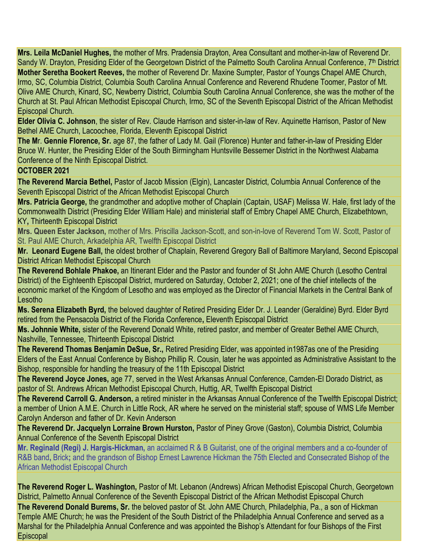**Mrs. Leila McDaniel Hughes,** the mother of Mrs. Pradensia Drayton, Area Consultant and mother-in-law of Reverend Dr. Sandy W. Drayton, Presiding Elder of the Georgetown District of the Palmetto South Carolina Annual Conference, 7<sup>th</sup> District **Mother Seretha Bookert Reeves,** the mother of Reverend Dr. Maxine Sumpter, Pastor of Youngs Chapel AME Church, Irmo, SC, Columbia District, Columbia South Carolina Annual Conference and Reverend Rhudene Toomer, Pastor of Mt. Olive AME Church, Kinard, SC, Newberry District, Columbia South Carolina Annual Conference, she was the mother of the Church at St. Paul African Methodist Episcopal Church, Irmo, SC of the Seventh Episcopal District of the African Methodist Episcopal Church.

**Elder Olivia C. Johnson**, the sister of Rev. Claude Harrison and sister-in-law of Rev. Aquinette Harrison, Pastor of New Bethel AME Church, Lacoochee, Florida, Eleventh Episcopal District

**The M**r. **Gennie Florence, Sr.** age 87, the father of Lady M. Gail (Florence) Hunter and father-in-law of Presiding Elder Bruce W. Hunter, the Presiding Elder of the South Birmingham Huntsville Bessemer District in the Northwest Alabama Conference of the Ninth Episcopal District.

# **OCTOBER 2021**

**The Reverend Marcia Bethel,** Pastor of Jacob Mission (Elgin), Lancaster District, Columbia Annual Conference of the Seventh Episcopal District of the African Methodist Episcopal Church

**Mrs. Patricia George,** the grandmother and adoptive mother of Chaplain (Captain, USAF) Melissa W. Hale, first lady of the Commonwealth District (Presiding Elder William Hale) and ministerial staff of Embry Chapel AME Church, Elizabethtown, KY**,** Thirteenth Episcopal District

**Mrs. Queen Ester Jackson,** mother of Mrs. Priscilla Jackson-Scott, and son-in-love of Reverend Tom W. Scott, Pastor of St. Paul AME Church, Arkadelphia AR, Twelfth Episcopal District

**Mr. Leonard Eugene Ball,** the oldest brother of Chaplain, Reverend Gregory Ball of Baltimore Maryland, Second Episcopal District African Methodist Episcopal Church

**The Reverend Bohlale Phakoe,** an Itinerant Elder and the Pastor and founder of St John AME Church (Lesotho Central District) of the Eighteenth Episcopal District, murdered on Saturday, October 2, 2021; one of the chief intellects of the economic market of the Kingdom of Lesotho and was employed as the Director of Financial Markets in the Central Bank of Lesotho

**Ms. Serena Elizabeth Byrd,** the beloved daughter of Retired Presiding Elder Dr. J. Leander (Geraldine) Byrd. Elder Byrd retired from the Pensacola District of the Florida Conference**,** Eleventh Episcopal District

**Ms. Johnnie White,** sister of the Reverend Donald White, retired pastor, and member of Greater Bethel AME Church, Nashville, Tennessee, Thirteenth Episcopal District

**The Reverend Thomas Benjamin DeSue, Sr.,** Retired Presiding Elder, was appointed in1987as one of the Presiding Elders of the East Annual Conference by Bishop Phillip R. Cousin, later he was appointed as Administrative Assistant to the Bishop, responsible for handling the treasury of the 11th Episcopal District

**The Reverend Joyce Jones,** age 77, served in the West Arkansas Annual Conference, Camden-El Dorado District, as pastor of St. Andrews African Methodist Episcopal Church, Huttig, AR, Twelfth Episcopal District

**The Reverend Carroll G. Anderson,** a retired minister in the Arkansas Annual Conference of the Twelfth Episcopal District; a member of Union A.M.E. Church in Little Rock, AR where he served on the ministerial staff; spouse of WMS Life Member Carolyn Anderson and father of Dr. Kevin Anderson

**The Reverend Dr. Jacquelyn Lorraine Brown Hurston,** Pastor of Piney Grove (Gaston), Columbia District, Columbia Annual Conference of the Seventh Episcopal District

**Mr. Reginald (Regi) J. Hargis-Hickman,** an acclaimed R & B Guitarist, one of the original members and a co-founder of R&B band**,** Brick**;** and the grandson of Bishop Ernest Lawrence Hickman the 75th Elected and Consecrated Bishop of the African Methodist Episcopal Church

**The Reverend Roger L. Washington,** Pastor of Mt. Lebanon (Andrews) African Methodist Episcopal Church, Georgetown District, Palmetto Annual Conference of the Seventh Episcopal District of the African Methodist Episcopal Church **The Reverend Donald Burems, Sr.** the beloved pastor of St. John AME Church, Philadelphia, Pa., a son of Hickman Temple AME Church; he was the President of the South District of the Philadelphia Annual Conference and served as a Marshal for the Philadelphia Annual Conference and was appointed the Bishop's Attendant for four Bishops of the First

**Episcopal**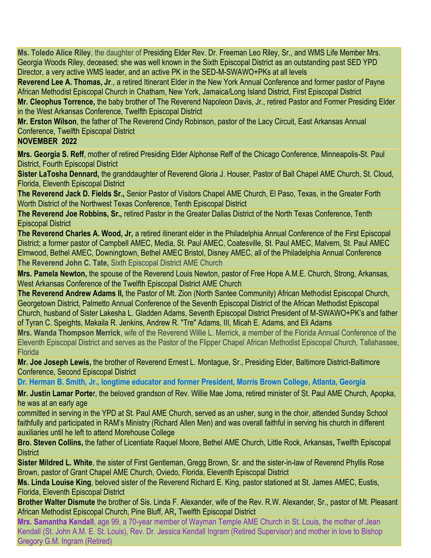**Ms. Toledo Alice Riley**, the daughter of Presiding Elder Rev. Dr. Freeman Leo Riley, Sr., and WMS Life Member Mrs. Georgia Woods Riley, deceased; she was well known in the Sixth Episcopal District as an outstanding past SED YPD Director, a very active WMS leader, and an active PK in the SED-M-SWAWO+PKs at all levels

**Reverend Lee A. Thomas, Jr**., a retired Itinerant Elder in the New York Annual Conference and former pastor of Payne African Methodist Episcopal Church in Chatham, New York, Jamaica/Long Island District, First Episcopal District

**Mr. Cleophus Torrence,** the baby brother of The Reverend Napoleon Davis, Jr., retired Pastor and Former Presiding Elder in the West Arkansas Conference, Twelfth Episcopal District

**Mr. Erston Wilson**, the father of The Reverend Cindy Robinson, pastor of the Lacy Circuit, East Arkansas Annual Conference, Twelfth Episcopal District

# **NOVEMBER 2022**

**Mrs. Georgia S. Reff**, mother of retired Presiding Elder Alphonse Reff of the Chicago Conference, Minneapolis-St. Paul District, Fourth Episcopal District

**Sister LaTosha Dennard,** the granddaughter of Reverend Gloria J. Houser, Pastor of Ball Chapel AME Church, St. Cloud, Florida, Eleventh Episcopal District

**The Reverend Jack D. Fields Sr.,** Senior Pastor of Visitors Chapel AME Church, El Paso, Texas, in the Greater Forth Worth District of the Northwest Texas Conference, Tenth Episcopal District

**The Reverend Joe Robbins, Sr.,** retired Pastor in the Greater Dallas District of the North Texas Conference, Tenth Episcopal District

**The Reverend Charles A. Wood, Jr,** a retired itinerant elder in the Philadelphia Annual Conference of the First Episcopal District; a former pastor of Campbell AMEC, Media, St. Paul AMEC, Coatesville, St. Paul AMEC, Malvern, St. Paul AMEC Elmwood, Bethel AMEC, Downingtown, Bethel AMEC Bristol, Disney AMEC, all of the Philadelphia Annual Conference **The Reverend John C. Tate,** Sixth Episcopal District AME Church

**Mrs. Pamela Newton,** the spouse of the Reverend Louis Newton, pastor of Free Hope A.M.E. Church, Strong, Arkansas, West Arkansas Conference of the Twelfth Episcopal District AME Church

**The Reverend Andrew Adams II,** the Pastor of Mt. Zion (North Santee Community) African Methodist Episcopal Church, Georgetown District, Palmetto Annual Conference of the Seventh Episcopal District of the African Methodist Episcopal Church, husband of Sister Lakesha L. Gladden Adams, Seventh Episcopal District President of M-SWAWO+PK's and father of Tyran C. Speights, Makaila R. Jenkins, Andrew R. "Tre" Adams, III, Micah E. Adams, and Eli Adams

**Mrs. Wanda Thompson Merrick**, wife of the Reverend Willie L. Merrick, a member of the Florida Annual Conference of the Eleventh Episcopal District and serves as the Pastor of the Flipper Chapel African Methodist Episcopal Church, Tallahassee, **Florida** 

**Mr. Joe Joseph Lewis,** the brother of Reverend Ernest L. Montague, Sr., Presiding Elder, Baltimore District-Baltimore Conference, Second Episcopal District

**Dr. Herman B. Smith, Jr., longtime educator and former President, Morris Brown College, Atlanta, Georgia**

**Mr. Justin Lamar Porte**r, the beloved grandson of Rev. Willie Mae Joma, retired minister of St. Paul AME Church, Apopka, he was at an early age

committed in serving in the YPD at St. Paul AME Church, served as an usher, sung in the choir, attended Sunday School faithfully and participated in RAM's Ministry (Richard Allen Men) and was overall faithful in serving his church in different auxiliaries until he left to attend Morehouse College

**Bro. Steven Collins,** the father of Licentiate Raquel Moore, Bethel AME Church, Little Rock, Arkansas**,** Twelfth Episcopal **District** 

**Sister Mildred L. White**, the sister of First Gentleman, Gregg Brown, Sr. and the sister-in-law of Reverend Phyllis Rose Brown, pastor of Grant Chapel AME Church, Oviedo, Florida, Eleventh Episcopal District

**Ms. Linda Louise King**, beloved sister of the Reverend Richard E. King, pastor stationed at St. James AMEC, Eustis, Florida, Eleventh Episcopal District

**Brother Walter Dismute** the brother of Sis. Linda F. Alexander, wife of the Rev. R.W. Alexander, Sr., pastor of Mt. Pleasant African Methodist Episcopal Church, Pine Bluff, AR**,** Twelfth Episcopal District

**Mrs. Samantha Kendall**, age 99, a 70-year member of Wayman Temple AME Church in St. Louis, the mother of Jean Kendall (St. John A.M. E. St. Louis), Rev. Dr. Jessica Kendall Ingram (Retired Supervisor) and mother in love to Bishop Gregory G.M. Ingram (Retired)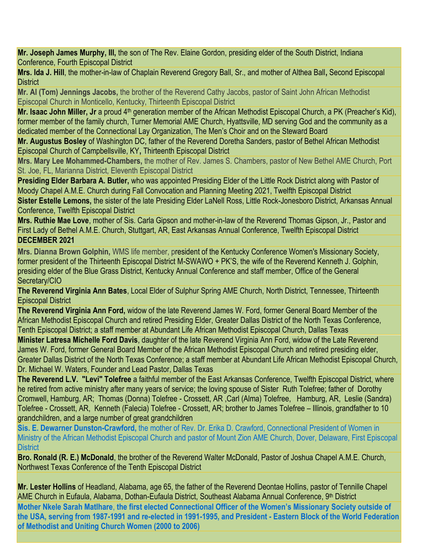**Mr. Joseph James Murphy, III,** the son of The Rev. Elaine Gordon, presiding elder of the South District, Indiana Conference, Fourth Episcopal District

**Mrs. Ida J. Hill**, the mother-in-law of Chaplain Reverend Gregory Ball, Sr., and mother of Althea Ball**,** Second Episcopal **District** 

**Mr. Al (Tom) Jennings Jacobs,** the brother of the Reverend Cathy Jacobs, pastor of Saint John African Methodist Episcopal Church in Monticello, Kentucky, Thirteenth Episcopal District

**Mr. Isaac John Miller, Jr** a proud 4<sup>th</sup> generation member of the African Methodist Episcopal Church, a PK (Preacher's Kid), former member of the family church, Turner Memorial AME Church, Hyattsville, MD serving God and the community as a dedicated member of the Connectional Lay Organization, The Men's Choir and on the Steward Board

**Mr. Augustus Bosley** of Washington DC, father of the Reverend Doretha Sanders, pastor of Bethel African Methodist Episcopal Church of Campbellsville, KY**,** Thirteenth Episcopal District

**Mrs. Mary Lee Mohammed-Chambers,** the mother of Rev. James S. Chambers, pastor of New Bethel AME Church, Port St. Joe, FL, Marianna District, Eleventh Episcopal District

**Presiding Elder Barbara A. Butler,** who was appointed Presiding Elder of the Little Rock District along with Pastor of Moody Chapel A.M.E. Church during Fall Convocation and Planning Meeting 2021, Twelfth Episcopal District

**Sister Estelle Lemons,** the sister of the late Presiding Elder LaNell Ross, Little Rock-Jonesboro District, Arkansas Annual Conference, Twelfth Episcopal District

**Mrs. Ruthie Mae Love**, mother of Sis. Carla Gipson and mother-in-law of the Reverend Thomas Gipson, Jr., Pastor and First Lady of Bethel A.M.E. Church, Stuttgart, AR, East Arkansas Annual Conference, Twelfth Episcopal District **DECEMBER 2021**

**Mrs. Dianna Brown Golphin,** WMS life member, president of the Kentucky Conference Women's Missionary Society, former president of the Thirteenth Episcopal District M-SWAWO + PK'S, the wife of the Reverend Kenneth J. Golphin, presiding elder of the Blue Grass District, Kentucky Annual Conference and staff member, Office of the General Secretary/CIO

**The Reverend Virginia Ann Bates**, Local Elder of Sulphur Spring AME Church, North District, Tennessee, Thirteenth Episcopal District

**The Reverend Virginia Ann Ford,** widow of the late Reverend James W. Ford, former General Board Member of the African Methodist Episcopal Church and retired Presiding Elder, Greater Dallas District of the North Texas Conference, Tenth Episcopal District; a staff member at Abundant Life African Methodist Episcopal Church, Dallas Texas

**Minister Latresa Michelle Ford Davis**, daughter of the late Reverend Virginia Ann Ford, widow of the Late Reverend James W. Ford, former General Board Member of the African Methodist Episcopal Church and retired presiding elder, Greater Dallas District of the North Texas Conference; a staff member at Abundant Life African Methodist Episcopal Church, Dr. Michael W. Waters, Founder and Lead Pastor, Dallas Texas

**The Reverend L.V. "Levi" Tolefree** a faithful member of the East Arkansas Conference, Twelfth Episcopal District, where he retired from active ministry after many years of service; the loving spouse of Sister Ruth Tolefree; father of Dorothy Cromwell, Hamburg, AR; Thomas (Donna) Tolefree - Crossett, AR ,Carl (Alma) Tolefree, Hamburg, AR, Leslie (Sandra) Tolefree - Crossett, AR, Kenneth (Falecia) Tolefree - Crossett, AR; brother to James Tolefree – Illinois, grandfather to 10 grandchildren, and a large number of great grandchildren

**Sis. E. Dewarner Dunston-Crawford,** the mother of Rev. Dr. Erika D. Crawford, Connectional President of Women in Ministry of the African Methodist Episcopal Church and pastor of Mount Zion AME Church, Dover, Delaware, First Episcopal **District** 

**Bro. Ronald (R. E.) McDonald**, the brother of the Reverend Walter McDonald, Pastor of Joshua Chapel A.M.E. Church, Northwest Texas Conference of the Tenth Episcopal District

**Mr. Lester Hollins** of Headland, Alabama, age 65, the father of the Reverend Deontae Hollins, pastor of Tennille Chapel AME Church in Eufaula, Alabama, Dothan-Eufaula District, Southeast Alabama Annual Conference, 9th District **Mother Nkele Sarah Matlhare**, **the first elected Connectional Officer of the Women's Missionary Society outside of the USA, serving from 1987-1991 and re-elected in 1991-1995, and President - Eastern Block of the World Federation of Methodist and Uniting Church Women (2000 to 2006)**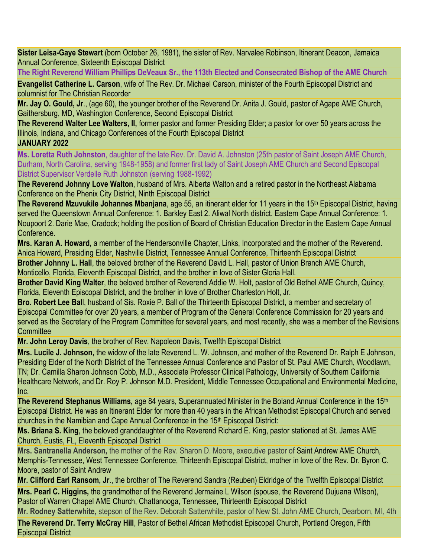**Sister Leisa-Gaye Stewart** (born October 26, 1981), the sister of Rev. Narvalee Robinson, Itinerant Deacon, Jamaica Annual Conference, Sixteenth Episcopal District

**The Right Reverend William Phillips DeVeaux Sr., the 113th Elected and Consecrated Bishop of the AME Church**

**Evangelist Catherine L. Carson**, wife of The Rev. Dr. Michael Carson, minister of the Fourth Episcopal District and columnist for The Christian Recorder

**Mr. Jay O. Gould, Jr**., (age 60), the younger brother of the Reverend Dr. Anita J. Gould, pastor of Agape AME Church, Gaithersburg, MD, Washington Conference, Second Episcopal District

**The Reverend Walter Lee Walters, II,** former pastor and former Presiding Elder; a pastor for over 50 years across the Illinois, Indiana, and Chicago Conferences of the Fourth Episcopal District

### **JANUARY 2022**

**Ms. Loretta Ruth Johnston**, daughter of the late Rev. Dr. David A. Johnston (25th pastor of Saint Joseph AME Church, Durham, North Carolina, serving 1948-1958) and former first lady of Saint Joseph AME Church and Second Episcopal District Supervisor Verdelle Ruth Johnston (serving 1988-1992)

**The Reverend Johnny Love Walton**, husband of Mrs. Alberta Walton and a retired pastor in the Northeast Alabama Conference on the Phenix City District, Ninth Episcopal District

**The Reverend Mzuvukile Johannes Mbanjana**, age 55, an itinerant elder for 11 years in the 15<sup>th</sup> Episcopal District, having served the Queenstown Annual Conference: 1. Barkley East 2. Aliwal North district. Eastern Cape Annual Conference: 1. Noupoort 2. Darie Mae, Cradock; holding the position of Board of Christian Education Director in the Eastern Cape Annual Conference.

**Mrs. Karan A. Howard,** a member of the Hendersonville Chapter, Links, Incorporated and the mother of the Reverend. Anica Howard, Presiding Elder, Nashville District, Tennessee Annual Conference, Thirteenth Episcopal District

**Brother Johnny L. Hall**, the beloved brother of the Reverend David L. Hall, pastor of Union Branch AME Church, Monticello, Florida, Eleventh Episcopal District, and the brother in love of Sister Gloria Hall.

**Brother David King Walter**, the beloved brother of Reverend Addie W. Holt, pastor of Old Bethel AME Church, Quincy, Florida, Eleventh Episcopal District, and the brother in love of Brother Charleston Holt, Jr.

**Bro. Robert Lee Bal**l, husband of Sis. Roxie P. Ball of the Thirteenth Episcopal District, a member and secretary of Episcopal Committee for over 20 years, a member of Program of the General Conference Commission for 20 years and served as the Secretary of the Program Committee for several years, and most recently, she was a member of the Revisions **Committee** 

**Mr. John Leroy Davis**, the brother of Rev. Napoleon Davis, Twelfth Episcopal District

**Mrs. Lucile J. Johnson,** the widow of the late Reverend L. W. Johnson, and mother of the Reverend Dr. Ralph E Johnson, Presiding Elder of the North District of the Tennessee Annual Conference and Pastor of St. Paul AME Church, Woodlawn, TN; Dr. Camilla Sharon Johnson Cobb, M.D., Associate Professor Clinical Pathology, University of Southern California Healthcare Network, and Dr. Roy P. Johnson M.D. President, Middle Tennessee Occupational and Environmental Medicine, Inc.

**The Reverend Stephanus Williams,** age 84 years, Superannuated Minister in the Boland Annual Conference in the 15th Episcopal District. He was an Itinerant Elder for more than 40 years in the African Methodist Episcopal Church and served churches in the Namibian and Cape Annual Conference in the 15<sup>th</sup> Episcopal District:

**Ms. Briana S. King**, the beloved granddaughter of the Reverend Richard E. King, pastor stationed at St. James AME Church, Eustis, FL, Eleventh Episcopal District

**Mrs. Santranella Anderson,** the mother of the Rev. Sharon D. Moore, executive pastor of Saint Andrew AME Church, Memphis-Tennessee, West Tennessee Conference, Thirteenth Episcopal District, mother in love of the Rev. Dr. Byron C. Moore, pastor of Saint Andrew

**Mr. Clifford Earl Ransom, Jr**., the brother of The Reverend Sandra (Reuben) Eldridge of the Twelfth Episcopal District

**Mrs. Pearl C. Higgins,** the grandmother of the Reverend Jermaine L Wilson (spouse, the Reverend Dujuana Wilson), Pastor of Warren Chapel AME Church, Chattanooga, Tennessee, Thirteenth Episcopal District

**Mr. Rodney Satterwhite,** stepson of the Rev. Deborah Satterwhite, pastor of New St. John AME Church, Dearborn, MI, 4th

**The Reverend Dr. Terry McCray Hill**, Pastor of Bethel African Methodist Episcopal Church, Portland Oregon, Fifth Episcopal District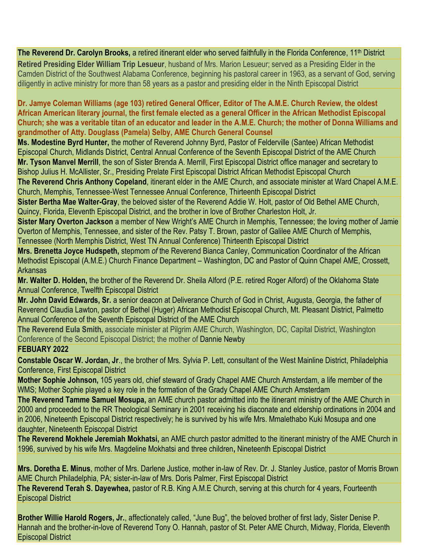### **The Reverend Dr. Carolyn Brooks,** a retired itinerant elder who served faithfully in the Florida Conference, 11<sup>th</sup> District

**Retired Presiding Elder William Trip Lesueur**, husband of Mrs. Marion Lesueur; served as a Presiding Elder in the Camden District of the Southwest Alabama Conference, beginning his pastoral career in 1963, as a servant of God, serving diligently in active ministry for more than 58 years as a pastor and presiding elder in the Ninth Episcopal District

**Dr. Jamye Coleman Williams (age 103) retired General Officer, Editor of The A.M.E. Church Review, the oldest African American literary journal, the first female elected as a general Officer in the African Methodist Episcopal Church; she was a veritable titan of an educator and leader in the A.M.E. Church; the mother of Donna Williams and grandmother of Atty. Douglass (Pamela) Selby, AME Church General Counsel**

**Ms. Modestine Byrd Hunter,** the mother of Reverend Johnny Byrd, Pastor of Felderville (Santee) African Methodist Episcopal Church, Midlands District, Central Annual Conference of the Seventh Episcopal District of the AME Church **Mr. Tyson Manvel Merrill**, the son of Sister Brenda A. Merrill, First Episcopal District office manager and secretary to Bishop Julius H. McAllister, Sr., Presiding Prelate First Episcopal District African Methodist Episcopal Church

**The Reverend Chris Anthony Copeland**, itinerant elder in the AME Church, and associate minister at Ward Chapel A.M.E. Church, Memphis, Tennessee-West Tennessee Annual Conference, Thirteenth Episcopal District

**Sister Bertha Mae Walter-Gray**, the beloved sister of the Reverend Addie W. Holt, pastor of Old Bethel AME Church, Quincy, Florida, Eleventh Episcopal District, and the brother in love of Brother Charleston Holt, Jr.

**Sister Mary Overton Jackson** a member of New Wright's AME Church in Memphis, Tennessee; the loving mother of Jamie Overton of Memphis, Tennessee, and sister of the Rev. Patsy T. Brown, pastor of Galilee AME Church of Memphis, Tennessee (North Memphis District, West TN Annual Conference) Thirteenth Episcopal District

**Mrs. Brenetta Joyce Hudspeth,** stepmom *of* the Reverend Bianca Canley, Communication Coordinator of the African Methodist Episcopal (A.M.E.) Church Finance Department – Washington, DC and Pastor of Quinn Chapel AME, Crossett, Arkansas

**Mr. Walter D. Holden,** the brother of the Reverend Dr. Sheila Alford (P.E. retired Roger Alford) of the Oklahoma State Annual Conference, Twelfth Episcopal District

**Mr. John David Edwards, Sr.** a senior deacon at Deliverance Church of God in Christ, Augusta, Georgia, the father of Reverend Claudia Lawton, pastor of Bethel (Huger) African Methodist Episcopal Church, Mt. Pleasant District, Palmetto Annual Conference of the Seventh Episcopal District of the AME Church

**The Reverend Eula Smith,** associate minister at Pilgrim AME Church, Washington, DC, Capital District, Washington Conference of the Second Episcopal District; the mother of Dannie Newby

### **FEBUARY 2022**

**Constable Oscar W. Jordan, Jr**., the brother of Mrs. Sylvia P. Lett, consultant of the West Mainline District, Philadelphia Conference, First Episcopal District

**Mother Sophie Johnson,** 105 years old, chief steward of Grady Chapel AME Church Amsterdam, a life member of the WMS; Mother Sophie played a key role in the formation of the Grady Chapel AME Church Amsterdam

**The Reverend Tamme Samuel Mosupa,** an AME church pastor admitted into the itinerant ministry of the AME Church in 2000 and proceeded to the RR Theological Seminary in 2001 receiving his diaconate and eldership ordinations in 2004 and in 2006, Nineteenth Episcopal District respectively; he is survived by his wife Mrs. Mmalethabo Kuki Mosupa and one daughter, Nineteenth Episcopal District

**The Reverend Mokhele Jeremiah Mokhatsi,** an AME church pastor admitted to the itinerant ministry of the AME Church in 1996, survived by his wife Mrs. Magdeline Mokhatsi and three children**,** Nineteenth Episcopal District

**Mrs. Doretha E. Minus**, mother of Mrs. Darlene Justice, mother in-law of Rev. Dr. J. Stanley Justice, pastor of Morris Brown AME Church Philadelphia, PA; sister-in-law of Mrs. Doris Palmer, First Episcopal District

**The Reverend Terah S. Dayewhea,** pastor of R.B. King A.M.E Church, serving at this church for 4 years, Fourteenth Episcopal District

**Brother Willie Harold Rogers, Jr.**, affectionately called, "June Bug", the beloved brother of first lady, Sister Denise P. Hannah and the brother-in-love of Reverend Tony O. Hannah, pastor of St. Peter AME Church, Midway, Florida, Eleventh Episcopal District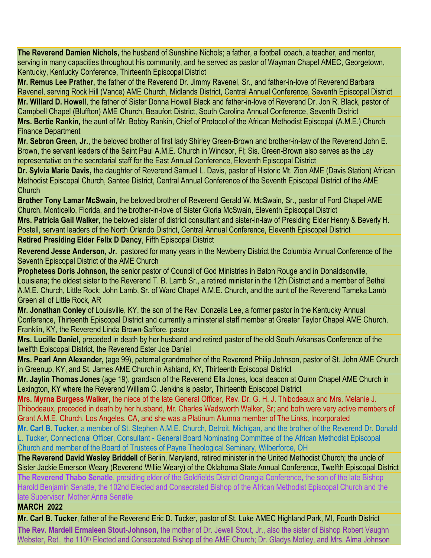**The Reverend Damien Nichols,** the husband of Sunshine Nichols; a father, a football coach, a teacher, and mentor, serving in many capacities throughout his community, and he served as pastor of Wayman Chapel AMEC, Georgetown, Kentucky, Kentucky Conference, Thirteenth Episcopal District

**Mr. Remus Lee Prather,** the father of the Reverend Dr. Jimmy Ravenel, Sr., and father-in-love of Reverend Barbara Ravenel, serving Rock Hill (Vance) AME Church, Midlands District, Central Annual Conference, Seventh Episcopal District **Mr. Willard D. Howell**, the father of Sister Donna Howell Black and father-in-love of Reverend Dr. Jon R. Black, pastor of Campbell Chapel (Bluffton) AME Church, Beaufort District, South Carolina Annual Conference, Seventh District

**Mrs. Bertie Rankin,** the aunt of Mr. Bobby Rankin, Chief of Protocol of the African Methodist Episcopal (A.M.E.) Church Finance Department

**Mr. Sebron Green, Jr.**, the beloved brother of first lady Shirley Green-Brown and brother-in-law of the Reverend John E. Brown, the servant leaders of the Saint Paul A.M.E. Church in Windsor, Fl; Sis. Green-Brown also serves as the Lay representative on the secretarial staff for the East Annual Conference, Eleventh Episcopal District

**Dr. Sylvia Marie Davis,** the daughter of Reverend Samuel L. Davis, pastor of Historic Mt. Zion AME (Davis Station) African Methodist Episcopal Church, Santee District, Central Annual Conference of the Seventh Episcopal District of the AME **Church** 

**Brother Tony Lamar McSwain**, the beloved brother of Reverend Gerald W. McSwain, Sr., pastor of Ford Chapel AME Church, Monticello, Florida, and the brother-in-love of Sister Gloria McSwain, Eleventh Episcopal District

**Mrs. Patricia Gail Walker**, the beloved sister of district consultant and sister-in-law of Presiding Elder Henry & Beverly H. Postell, servant leaders of the North Orlando District, Central Annual Conference, Eleventh Episcopal District

**Retired Presiding Elder Felix D Dancy**, Fifth Episcopal District

**Reverend Jesse Anderson, Jr.** pastored for many years in the Newberry District the Columbia Annual Conference of the Seventh Episcopal District of the AME Church

**Prophetess Doris Johnson,** the senior pastor of Council of God Ministries in Baton Rouge and in Donaldsonville, Louisiana; the oldest sister to the Reverend T. B. Lamb Sr., a retired minister in the 12th District and a member of Bethel A.M.E. Church, Little Rock; John Lamb, Sr. of Ward Chapel A.M.E. Church, and the aunt of the Reverend Tameka Lamb Green all of Little Rock, AR

**Mr. Jonathan Conley** of Louisville, KY, the son of the Rev. Donzella Lee, a former pastor in the Kentucky Annual Conference, Thirteenth Episcopal District and currently a ministerial staff member at Greater Taylor Chapel AME Church, Franklin, KY, the Reverend Linda Brown-Saffore, pastor

**Mrs. Lucille Daniel,** preceded in death by her husband and retired pastor of the old South Arkansas Conference of the twelfth Episcopal District, the Reverend Ester Joe Daniel

**Mrs. Pearl Ann Alexander,** (age 99), paternal grandmother of the Reverend Philip Johnson, pastor of St. John AME Church in Greenup, KY, and St. James AME Church in Ashland, KY, Thirteenth Episcopal District

**Mr. Jaylin Thomas Jones** (age 19), grandson of the Reverend Ella Jones, local deacon at Quinn Chapel AME Church in Lexington, KY where the Reverend William C. Jenkins is pastor, Thirteenth Episcopal District

**Mrs. Myrna Burgess Walker,** the niece of the late General Officer, Rev. Dr. G. H. J. Thibodeaux and Mrs. Melanie J. Thibodeaux, preceded in death by her husband, Mr. Charles Wadsworth Walker, Sr; and both were very active members of Grant A.M.E. Church, Los Angeles, CA, and she was a Platinum Alumna member of The Links, Incorporated

**Mr. Carl B. Tucker,** a member of St. Stephen A.M.E. Church, Detroit, Michigan, and the brother of the Reverend Dr. Donald L. Tucker, Connectional Officer, Consultant - General Board Nominating Committee of the African Methodist Episcopal Church and member of the Board of Trustees of Payne Theological Seminary, Wilberforce, OH

**The Reverend David Wesley Briddell** of Berlin, Maryland, retired minister in the United Methodist Church; the uncle of Sister Jackie Emerson Weary (Reverend Willie Weary) of the Oklahoma State Annual Conference, Twelfth Episcopal District

**The Reverend Thabo Senatle**, presiding elder of the Goldfields District Orangia Conference**,** the son of the late Bishop Harold Benjamin Senatle, the 102nd Elected and Consecrated Bishop of the African Methodist Episcopal Church and the late Supervisor, Mother Anna Senatle

### **MARCH 2022**

**Mr. Carl B. Tucker**, father of the Reverend Eric D. Tucker, pastor of St. Luke AMEC Highland Park, MI, Fourth District

**The Rev. Mardell Ermaleen Stout-Johnson,** the mother of Dr. Jewell Stout, Jr., also the sister of Bishop Robert Vaughn Webster, Ret., the 110<sup>th</sup> Elected and Consecrated Bishop of the AME Church; Dr. Gladys Motley, and Mrs. Alma Johnson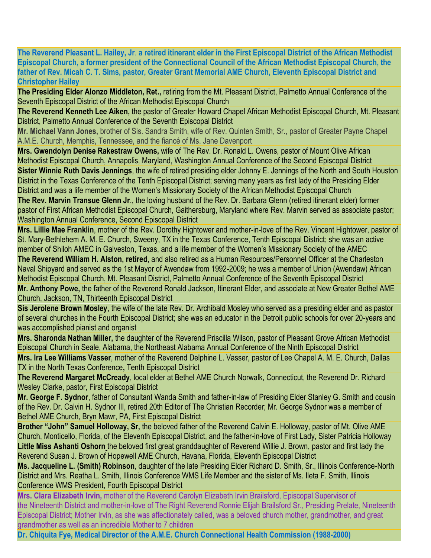**The Reverend Pleasant L. Hailey, Jr**. **a retired itinerant elder in the First Episcopal District of the African Methodist Episcopal Church, a former president of the Connectional Council of the African Methodist Episcopal Church, the father of Rev. Micah C. T. Sims, pastor, Greater Grant Memorial AME Church, Eleventh Episcopal District and Christopher Hailey**

**The Presiding Elder Alonzo Middleton, Ret.,** retiring from the Mt. Pleasant District, Palmetto Annual Conference of the Seventh Episcopal District of the African Methodist Episcopal Church

**The Reverend Kenneth Lee Aiken,** the pastor of Greater Howard Chapel African Methodist Episcopal Church, Mt. Pleasant District, Palmetto Annual Conference of the Seventh Episcopal District

**Mr. Michael Vann Jones,** brother of Sis. Sandra Smith, wife of Rev. Quinten Smith, Sr., pastor of Greater Payne Chapel A.M.E. Church, Memphis, Tennessee, and the fiancé of Ms. Jane Davenport

**Mrs. Gwendolyn Denise Rakestraw Owens,** wife of The Rev. Dr. Ronald L. Owens, pastor of Mount Olive African Methodist Episcopal Church, Annapolis, Maryland, Washington Annual Conference of the Second Episcopal District **Sister Winnie Ruth Davis Jennings**, the wife of retired presiding elder Johnny E. Jennings of the North and South Houston District in the Texas Conference of the Tenth Episcopal District; serving many years as first lady of the Presiding Elder District and was a life member of the Women's Missionary Society of the African Methodist Episcopal Church

**The Rev. Marvin Transue Glenn Jr**., the loving husband of the Rev. Dr. Barbara Glenn (retired itinerant elder) former pastor of First African Methodist Episcopal Church, Gaithersburg, Maryland where Rev. Marvin served as associate pastor; Washington Annual Conference, Second Episcopal District

**Mrs. Lillie Mae Franklin**, mother of the Rev. Dorothy Hightower and mother-in-love of the Rev. Vincent Hightower, pastor of St. Mary-Bethlehem A. M. E. Church, Sweeny, TX in the Texas Conference, Tenth Episcopal District; she was an active member of Shiloh AMEC in Galveston, Texas, and a life member of the Women's Missionary Society of the AMEC

**The Reverend William H. Alston, retired**, and also retired as a Human Resources/Personnel Officer at the Charleston Naval Shipyard and served as the 1st Mayor of Awendaw from 1992-2009; he was a member of Union (Awendaw) African Methodist Episcopal Church, Mt. Pleasant District, Palmetto Annual Conference of the Seventh Episcopal District

**Mr. Anthony Powe,** the father of the Reverend Ronald Jackson, Itinerant Elder, and associate at New Greater Bethel AME Church, Jackson, TN, Thirteenth Episcopal District

**Sis Jerolene Brown Mosley**, the wife of the late Rev. Dr. Archibald Mosley who served as a presiding elder and as pastor of several churches in the Fourth Episcopal District; she was an educator in the Detroit public schools for over 20-years and was accomplished pianist and organist

**Mrs. Sharonda Nathan Miller,** the daughter of the Reverend Priscilla Wilson, pastor of Pleasant Grove African Methodist Episcopal Church in Seale, Alabama, the Northeast Alabama Annual Conference of the Ninth Episcopal District

**Mrs. Ira Lee Williams Vasser**, mother of the Reverend Delphine L. Vasser, pastor of Lee Chapel A. M. E. Church, Dallas TX in the North Texas Conference**,** Tenth Episcopal District

**The Reverend Margaret McCready**, local elder at Bethel AME Church Norwalk, Connecticut, the Reverend Dr. Richard Wesley Clarke, pastor, First Episcopal District

**Mr. George F. Sydnor**, father of Consultant Wanda Smith and father-in-law of Presiding Elder Stanley G. Smith and cousin of the Rev. Dr. Calvin H. Sydnor III, retired 20th Editor of The Christian Recorder; Mr. George Sydnor was a member of Bethel AME Church, Bryn Mawr, PA, First Episcopal District

**Brother "John" Samuel Holloway, Sr,** the beloved father of the Reverend Calvin E. Holloway, pastor of Mt. Olive AME Church, Monticello, Florida, of the Eleventh Episcopal District, and the father-in-love of First Lady, Sister Patricia Holloway **Little Miss Ashanti Oshorn** the beloved first great granddaughter of Reverend Willie J. Brown, pastor and first lady the Reverend Susan J. Brown of Hopewell AME Church, Havana, Florida, Eleventh Episcopal District

**Ms. Jacqueline L. (Smith) Robinson**, daughter of the late Presiding Elder Richard D. Smith, Sr., Illinois Conference-North District and Mrs. Reatha L. Smith, Illinois Conference WMS Life Member and the sister of Ms. Ileta F. Smith, Illinois Conference WMS President, Fourth Episcopal District

**Mrs. Clara Elizabeth Irvin,** mother of the Reverend Carolyn Elizabeth Irvin Brailsford, Episcopal Supervisor of the Nineteenth District and mother-in-love of The Right Reverend Ronnie Elijah Brailsford Sr., Presiding Prelate, Nineteenth Episcopal District; Mother Irvin, as she was affectionately called, was a beloved church mother, grandmother, and great grandmother as well as an incredible Mother to 7 children

**Dr. Chiquita Fye, Medical Director of the A.M.E. Church Connectional Health Commission (1988-2000)**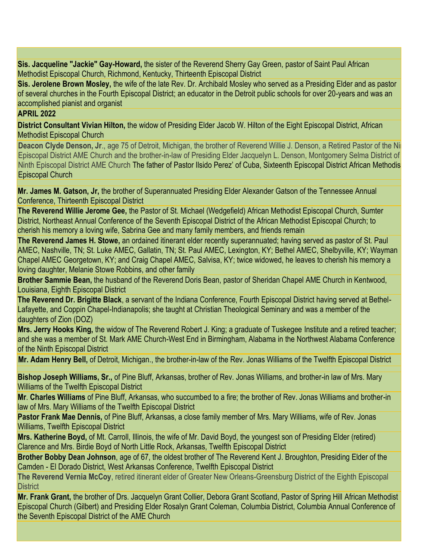**Sis. Jacqueline "Jackie" Gay-Howard,** the sister of the Reverend Sherry Gay Green, pastor of Saint Paul African Methodist Episcopal Church, Richmond, Kentucky, Thirteenth Episcopal District

**Sis. Jerolene Brown Mosley,** the wife of the late Rev. Dr. Archibald Mosley who served as a Presiding Elder and as pastor of several churches in the Fourth Episcopal District; an educator in the Detroit public schools for over 20-years and was an accomplished pianist and organist

### **APRIL 2022**

**District Consultant Vivian Hilton,** the widow of Presiding Elder Jacob W. Hilton of the Eight Episcopal District, African Methodist Episcopal Church

**Deacon Clyde Denson, Jr., age 75 of Detroit, Michigan, the brother of Reverend Willie J. Denson, a Retired Pastor of the Ni** Episcopal District AME Church and the brother-in-law of Presiding Elder Jacquelyn L. Denson, Montgomery Selma District of the Ninth Episcopal District AME Church The father of Pastor Ilsido Perez' of Cuba, Sixteenth Episcopal District African Methodis Episcopal Church

**Mr. James M. Gatson, Jr,** the brother of Superannuated Presiding Elder Alexander Gatson of the Tennessee Annual Conference, Thirteenth Episcopal District

**The Reverend Willie Jerome Gee,** the Pastor of St. Michael (Wedgefield) African Methodist Episcopal Church, Sumter District, Northeast Annual Conference of the Seventh Episcopal District of the African Methodist Episcopal Church; to cherish his memory a loving wife, Sabrina Gee and many family members, and friends remain

**The Reverend James H. Stowe,** an ordained itinerant elder recently superannuated; having served as pastor of St. Paul AMEC, Nashville, TN; St. Luke AMEC, Gallatin, TN; St. Paul AMEC, Lexington, KY; Bethel AMEC, Shelbyville, KY; Wayman Chapel AMEC Georgetown, KY; and Craig Chapel AMEC, Salvisa, KY; twice widowed, he leaves to cherish his memory a loving daughter, Melanie Stowe Robbins, and other family

**Brother Sammie Bean,** the husband of the Reverend Doris Bean, pastor of Sheridan Chapel AME Church in Kentwood, Louisiana, Eighth Episcopal District

**The Reverend Dr. Brigitte Black**, a servant of the Indiana Conference, Fourth Episcopal District having served at Bethel-Lafayette, and Coppin Chapel-Indianapolis; she taught at Christian Theological Seminary and was a member of the daughters of Zion (DOZ)

**Mrs. Jerry Hooks King,** the widow of The Reverend Robert J. King; a graduate of Tuskegee Institute and a retired teacher; and she was a member of St. Mark AME Church-West End in Birmingham, Alabama in the Northwest Alabama Conference of the Ninth Episcopal District

**Mr. Adam Henry Bell,** of Detroit, Michigan., the brother-in-law of the Rev. Jonas Williams of the Twelfth Episcopal District

**Bishop Joseph Williams, Sr.,** of Pine Bluff, Arkansas, brother of Rev. Jonas Williams, and brother-in law of Mrs. Mary Williams of the Twelfth Episcopal District

**Mr**. **Charles Williams** of Pine Bluff, Arkansas, who succumbed to a fire; the brother of Rev. Jonas Williams and brother-in law of Mrs. Mary Williams of the Twelfth Episcopal District

**Pastor Frank Mae Dennis,** of Pine Bluff, Arkansas, a close family member of Mrs. Mary Williams, wife of Rev. Jonas Williams, Twelfth Episcopal District

**Mrs. Katherine Boyd,** of Mt. Carroll, Illinois, the wife of Mr. David Boyd, the youngest son of Presiding Elder (retired) Clarence and Mrs. Birdie Boyd of North Little Rock, Arkansas, Twelfth Episcopal District

**Brother Bobby Dean Johnson**, age of 67, the oldest brother of The Reverend Kent J. Broughton, Presiding Elder of the Camden - El Dorado District, West Arkansas Conference, Twelfth Episcopal District

**The Reverend Vernia McCoy**, retired itinerant elder of Greater New Orleans-Greensburg District of the Eighth Episcopal **District** 

**Mr. Frank Grant,** the brother of Drs. Jacquelyn Grant Collier, Debora Grant Scotland, Pastor of Spring Hill African Methodist Episcopal Church (Gilbert) and Presiding Elder Rosalyn Grant Coleman, Columbia District, Columbia Annual Conference of the Seventh Episcopal District of the AME Church